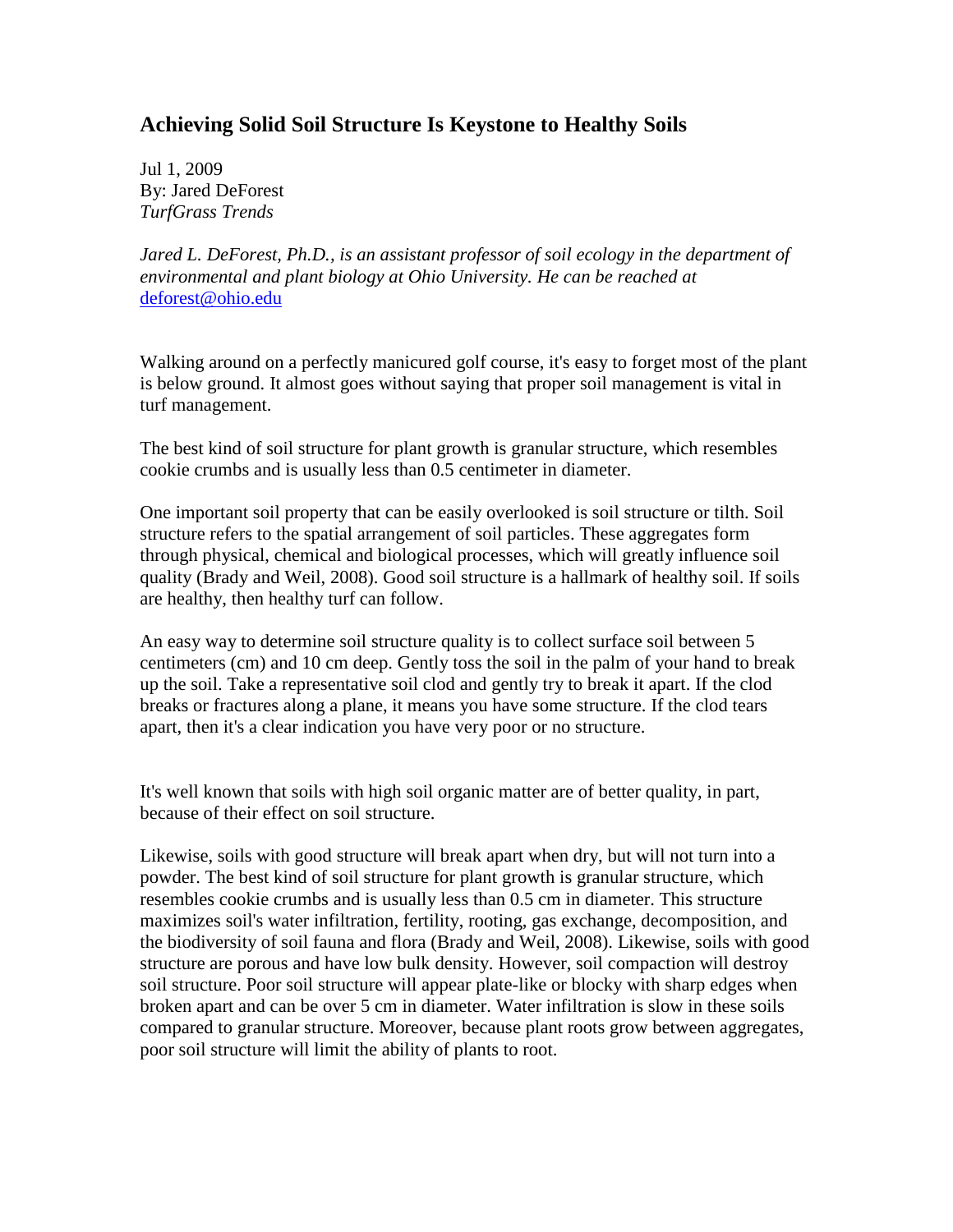## **Achieving Solid Soil Structure Is Keystone to Healthy Soils**

Jul 1, 2009 By: Jared DeForest *TurfGrass Trends* 

*Jared L. DeForest, Ph.D., is an assistant professor of soil ecology in the department of environmental and plant biology at Ohio University. He can be reached at*  deforest@ohio.edu

Walking around on a perfectly manicured golf course, it's easy to forget most of the plant is below ground. It almost goes without saying that proper soil management is vital in turf management.

The best kind of soil structure for plant growth is granular structure, which resembles cookie crumbs and is usually less than 0.5 centimeter in diameter.

One important soil property that can be easily overlooked is soil structure or tilth. Soil structure refers to the spatial arrangement of soil particles. These aggregates form through physical, chemical and biological processes, which will greatly influence soil quality (Brady and Weil, 2008). Good soil structure is a hallmark of healthy soil. If soils are healthy, then healthy turf can follow.

An easy way to determine soil structure quality is to collect surface soil between 5 centimeters (cm) and 10 cm deep. Gently toss the soil in the palm of your hand to break up the soil. Take a representative soil clod and gently try to break it apart. If the clod breaks or fractures along a plane, it means you have some structure. If the clod tears apart, then it's a clear indication you have very poor or no structure.

It's well known that soils with high soil organic matter are of better quality, in part, because of their effect on soil structure.

Likewise, soils with good structure will break apart when dry, but will not turn into a powder. The best kind of soil structure for plant growth is granular structure, which resembles cookie crumbs and is usually less than 0.5 cm in diameter. This structure maximizes soil's water infiltration, fertility, rooting, gas exchange, decomposition, and the biodiversity of soil fauna and flora (Brady and Weil, 2008). Likewise, soils with good structure are porous and have low bulk density. However, soil compaction will destroy soil structure. Poor soil structure will appear plate-like or blocky with sharp edges when broken apart and can be over 5 cm in diameter. Water infiltration is slow in these soils compared to granular structure. Moreover, because plant roots grow between aggregates, poor soil structure will limit the ability of plants to root.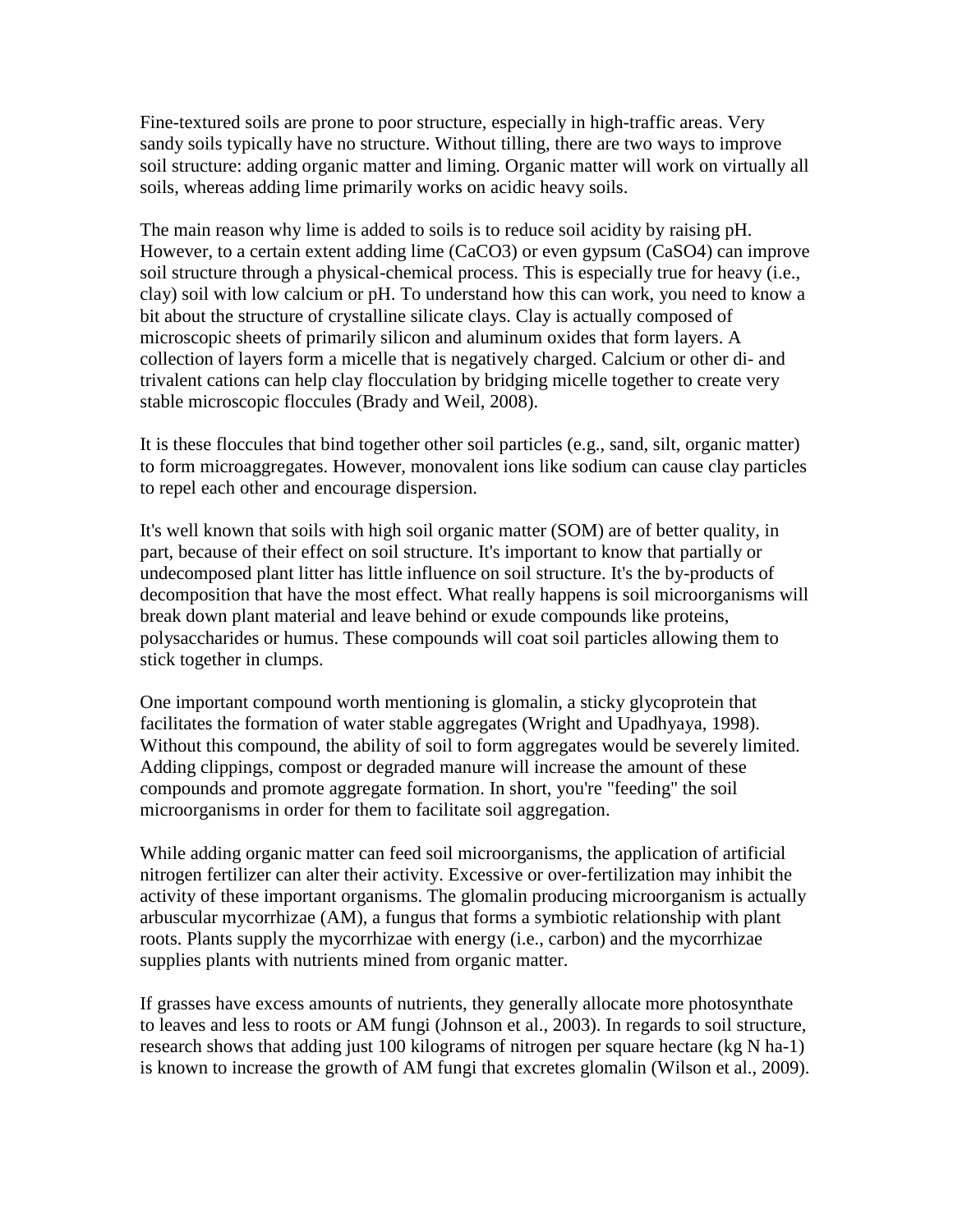Fine-textured soils are prone to poor structure, especially in high-traffic areas. Very sandy soils typically have no structure. Without tilling, there are two ways to improve soil structure: adding organic matter and liming. Organic matter will work on virtually all soils, whereas adding lime primarily works on acidic heavy soils.

The main reason why lime is added to soils is to reduce soil acidity by raising pH. However, to a certain extent adding lime (CaCO3) or even gypsum (CaSO4) can improve soil structure through a physical-chemical process. This is especially true for heavy (i.e., clay) soil with low calcium or pH. To understand how this can work, you need to know a bit about the structure of crystalline silicate clays. Clay is actually composed of microscopic sheets of primarily silicon and aluminum oxides that form layers. A collection of layers form a micelle that is negatively charged. Calcium or other di- and trivalent cations can help clay flocculation by bridging micelle together to create very stable microscopic floccules (Brady and Weil, 2008).

It is these floccules that bind together other soil particles (e.g., sand, silt, organic matter) to form microaggregates. However, monovalent ions like sodium can cause clay particles to repel each other and encourage dispersion.

It's well known that soils with high soil organic matter (SOM) are of better quality, in part, because of their effect on soil structure. It's important to know that partially or undecomposed plant litter has little influence on soil structure. It's the by-products of decomposition that have the most effect. What really happens is soil microorganisms will break down plant material and leave behind or exude compounds like proteins, polysaccharides or humus. These compounds will coat soil particles allowing them to stick together in clumps.

One important compound worth mentioning is glomalin, a sticky glycoprotein that facilitates the formation of water stable aggregates (Wright and Upadhyaya, 1998). Without this compound, the ability of soil to form aggregates would be severely limited. Adding clippings, compost or degraded manure will increase the amount of these compounds and promote aggregate formation. In short, you're "feeding" the soil microorganisms in order for them to facilitate soil aggregation.

While adding organic matter can feed soil microorganisms, the application of artificial nitrogen fertilizer can alter their activity. Excessive or over-fertilization may inhibit the activity of these important organisms. The glomalin producing microorganism is actually arbuscular mycorrhizae (AM), a fungus that forms a symbiotic relationship with plant roots. Plants supply the mycorrhizae with energy (i.e., carbon) and the mycorrhizae supplies plants with nutrients mined from organic matter.

If grasses have excess amounts of nutrients, they generally allocate more photosynthate to leaves and less to roots or AM fungi (Johnson et al., 2003). In regards to soil structure, research shows that adding just 100 kilograms of nitrogen per square hectare (kg N ha-1) is known to increase the growth of AM fungi that excretes glomalin (Wilson et al., 2009).